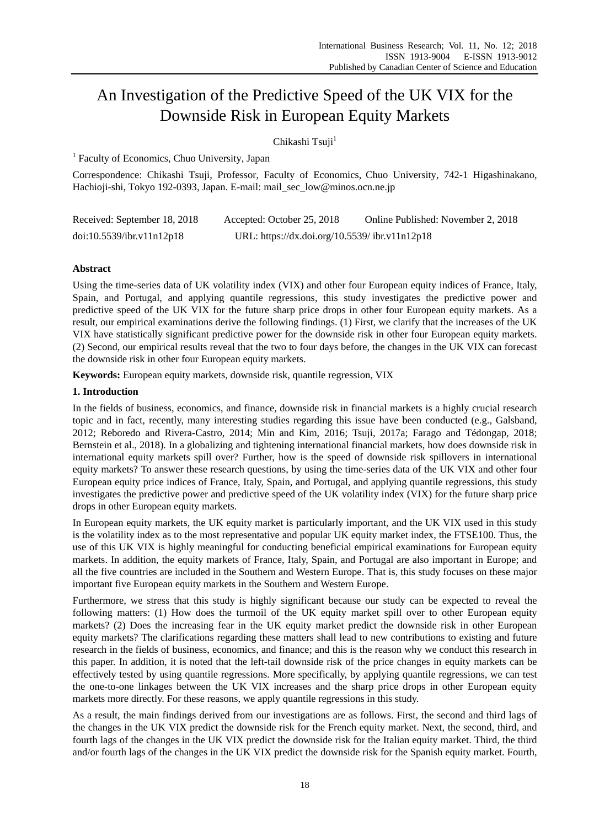# An Investigation of the Predictive Speed of the UK VIX for the Downside Risk in European Equity Markets

Chikashi Tsuji<sup>1</sup>

<sup>1</sup> Faculty of Economics, Chuo University, Japan

Correspondence: Chikashi Tsuji, Professor, Faculty of Economics, Chuo University, 742-1 Higashinakano, Hachioji-shi, Tokyo 192-0393, Japan. E-mail: mail\_sec\_low@minos.ocn.ne.jp

| Received: September 18, 2018 | Accepted: October 25, 2018                     | Online Published: November 2, 2018 |
|------------------------------|------------------------------------------------|------------------------------------|
| doi:10.5539/ibr.v11n12p18    | URL: https://dx.doi.org/10.5539/ ibr.v11n12p18 |                                    |

# **Abstract**

Using the time-series data of UK volatility index (VIX) and other four European equity indices of France, Italy, Spain, and Portugal, and applying quantile regressions, this study investigates the predictive power and predictive speed of the UK VIX for the future sharp price drops in other four European equity markets. As a result, our empirical examinations derive the following findings. (1) First, we clarify that the increases of the UK VIX have statistically significant predictive power for the downside risk in other four European equity markets. (2) Second, our empirical results reveal that the two to four days before, the changes in the UK VIX can forecast the downside risk in other four European equity markets.

**Keywords:** European equity markets, downside risk, quantile regression, VIX

# **1. Introduction**

In the fields of business, economics, and finance, downside risk in financial markets is a highly crucial research topic and in fact, recently, many interesting studies regarding this issue have been conducted (e.g., Galsband, 2012; Reboredo and Rivera-Castro, 2014; Min and Kim, 2016; Tsuji, 2017a; Farago and Tédongap, 2018; Bernstein et al., 2018). In a globalizing and tightening international financial markets, how does downside risk in international equity markets spill over? Further, how is the speed of downside risk spillovers in international equity markets? To answer these research questions, by using the time-series data of the UK VIX and other four European equity price indices of France, Italy, Spain, and Portugal, and applying quantile regressions, this study investigates the predictive power and predictive speed of the UK volatility index (VIX) for the future sharp price drops in other European equity markets.

In European equity markets, the UK equity market is particularly important, and the UK VIX used in this study is the volatility index as to the most representative and popular UK equity market index, the FTSE100. Thus, the use of this UK VIX is highly meaningful for conducting beneficial empirical examinations for European equity markets. In addition, the equity markets of France, Italy, Spain, and Portugal are also important in Europe; and all the five countries are included in the Southern and Western Europe. That is, this study focuses on these major important five European equity markets in the Southern and Western Europe.

Furthermore, we stress that this study is highly significant because our study can be expected to reveal the following matters: (1) How does the turmoil of the UK equity market spill over to other European equity markets? (2) Does the increasing fear in the UK equity market predict the downside risk in other European equity markets? The clarifications regarding these matters shall lead to new contributions to existing and future research in the fields of business, economics, and finance; and this is the reason why we conduct this research in this paper. In addition, it is noted that the left-tail downside risk of the price changes in equity markets can be effectively tested by using quantile regressions. More specifically, by applying quantile regressions, we can test the one-to-one linkages between the UK VIX increases and the sharp price drops in other European equity markets more directly. For these reasons, we apply quantile regressions in this study.

As a result, the main findings derived from our investigations are as follows. First, the second and third lags of the changes in the UK VIX predict the downside risk for the French equity market. Next, the second, third, and fourth lags of the changes in the UK VIX predict the downside risk for the Italian equity market. Third, the third and/or fourth lags of the changes in the UK VIX predict the downside risk for the Spanish equity market. Fourth,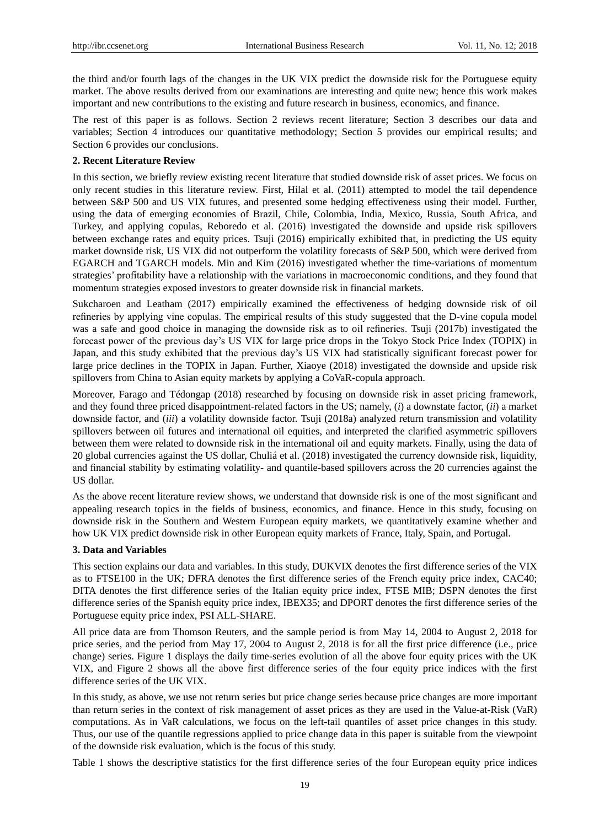the third and/or fourth lags of the changes in the UK VIX predict the downside risk for the Portuguese equity market. The above results derived from our examinations are interesting and quite new; hence this work makes important and new contributions to the existing and future research in business, economics, and finance.

The rest of this paper is as follows. Section 2 reviews recent literature; Section 3 describes our data and variables; Section 4 introduces our quantitative methodology; Section 5 provides our empirical results; and Section 6 provides our conclusions.

#### **2. Recent Literature Review**

In this section, we briefly review existing recent literature that studied downside risk of asset prices. We focus on only recent studies in this literature review. First, Hilal et al. (2011) attempted to model the tail dependence between S&P 500 and US VIX futures, and presented some hedging effectiveness using their model. Further, using the data of emerging economies of Brazil, Chile, Colombia, India, Mexico, Russia, South Africa, and Turkey, and applying copulas, Reboredo et al. (2016) investigated the downside and upside risk spillovers between exchange rates and equity prices. Tsuji (2016) empirically exhibited that, in predicting the US equity market downside risk, US VIX did not outperform the volatility forecasts of S&P 500, which were derived from EGARCH and TGARCH models. Min and Kim (2016) investigated whether the time-variations of momentum strategies' profitability have a relationship with the variations in macroeconomic conditions, and they found that momentum strategies exposed investors to greater downside risk in financial markets.

Sukcharoen and Leatham (2017) empirically examined the effectiveness of hedging downside risk of oil refineries by applying vine copulas. The empirical results of this study suggested that the D-vine copula model was a safe and good choice in managing the downside risk as to oil refineries. Tsuji (2017b) investigated the forecast power of the previous day's US VIX for large price drops in the Tokyo Stock Price Index (TOPIX) in Japan, and this study exhibited that the previous day's US VIX had statistically significant forecast power for large price declines in the TOPIX in Japan. Further, Xiaoye (2018) investigated the downside and upside risk spillovers from China to Asian equity markets by applying a CoVaR-copula approach.

Moreover, Farago and Tédongap (2018) researched by focusing on downside risk in asset pricing framework, and they found three priced disappointment-related factors in the US; namely, (*i*) a downstate factor, (*ii*) a market downside factor, and (*iii*) a volatility downside factor. Tsuji (2018a) analyzed return transmission and volatility spillovers between oil futures and international oil equities, and interpreted the clarified asymmetric spillovers between them were related to downside risk in the international oil and equity markets. Finally, using the data of 20 global currencies against the US dollar, Chuliá et al. (2018) investigated the currency downside risk, liquidity, and financial stability by estimating volatility- and quantile-based spillovers across the 20 currencies against the US dollar.

As the above recent literature review shows, we understand that downside risk is one of the most significant and appealing research topics in the fields of business, economics, and finance. Hence in this study, focusing on downside risk in the Southern and Western European equity markets, we quantitatively examine whether and how UK VIX predict downside risk in other European equity markets of France, Italy, Spain, and Portugal.

## **3. Data and Variables**

This section explains our data and variables. In this study, DUKVIX denotes the first difference series of the VIX as to FTSE100 in the UK; DFRA denotes the first difference series of the French equity price index, CAC40; DITA denotes the first difference series of the Italian equity price index, FTSE MIB; DSPN denotes the first difference series of the Spanish equity price index, IBEX35; and DPORT denotes the first difference series of the Portuguese equity price index, PSI ALL-SHARE.

All price data are from Thomson Reuters, and the sample period is from May 14, 2004 to August 2, 2018 for price series, and the period from May 17, 2004 to August 2, 2018 is for all the first price difference (i.e., price change) series. Figure 1 displays the daily time-series evolution of all the above four equity prices with the UK VIX, and Figure 2 shows all the above first difference series of the four equity price indices with the first difference series of the UK VIX.

In this study, as above, we use not return series but price change series because price changes are more important than return series in the context of risk management of asset prices as they are used in the Value-at-Risk (VaR) computations. As in VaR calculations, we focus on the left-tail quantiles of asset price changes in this study. Thus, our use of the quantile regressions applied to price change data in this paper is suitable from the viewpoint of the downside risk evaluation, which is the focus of this study.

Table 1 shows the descriptive statistics for the first difference series of the four European equity price indices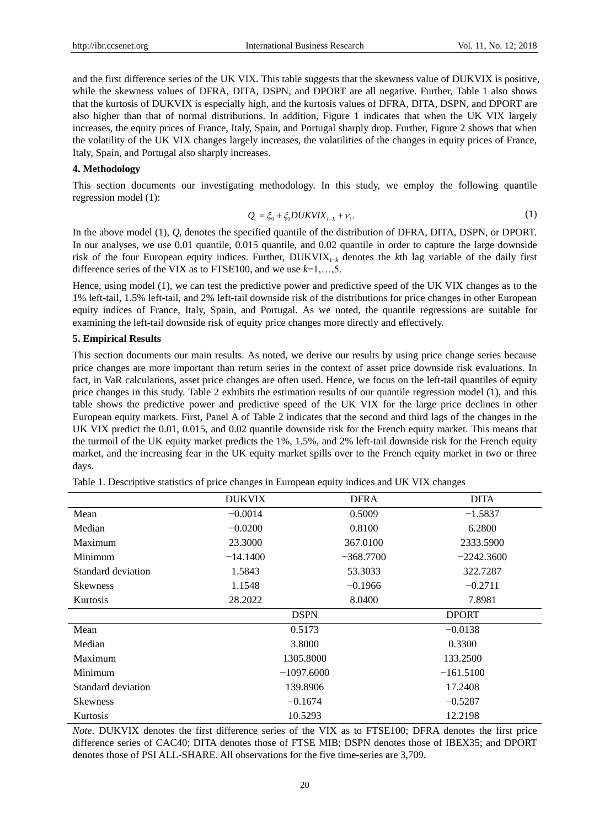and the first difference series of the UK VIX. This table suggests that the skewness value of DUKVIX is positive, while the skewness values of DFRA, DITA, DSPN, and DPORT are all negative. Further, Table 1 also shows that the kurtosis of DUKVIX is especially high, and the kurtosis values of DFRA, DITA, DSPN, and DPORT are also higher than that of normal distributions. In addition, Figure 1 indicates that when the UK VIX largely increases, the equity prices of France, Italy, Spain, and Portugal sharply drop. Further, Figure 2 shows that when the volatility of the UK VIX changes largely increases, the volatilities of the changes in equity prices of France, Italy, Spain, and Portugal also sharply increases.

#### **4. Methodology**

This section documents our investigating methodology. In this study, we employ the following quantile regression model (1):

$$
Q_{t} = \xi_{0} + \xi_{1} DUKVIX_{t-k} + \nu_{t}.
$$
\n(1)

In the above model (1),  $Q_t$  denotes the specified quantile of the distribution of DFRA, DITA, DSPN, or DPORT. In our analyses, we use 0.01 quantile, 0.015 quantile, and 0.02 quantile in order to capture the large downside risk of the four European equity indices. Further, DUKVIX*t*−*<sup>k</sup>* denotes the *k*th lag variable of the daily first difference series of the VIX as to FTSE100, and we use *k*=1,…,5.

Hence, using model (1), we can test the predictive power and predictive speed of the UK VIX changes as to the 1% left-tail, 1.5% left-tail, and 2% left-tail downside risk of the distributions for price changes in other European equity indices of France, Italy, Spain, and Portugal. As we noted, the quantile regressions are suitable for examining the left-tail downside risk of equity price changes more directly and effectively.

#### **5. Empirical Results**

This section documents our main results. As noted, we derive our results by using price change series because price changes are more important than return series in the context of asset price downside risk evaluations. In fact, in VaR calculations, asset price changes are often used. Hence, we focus on the left-tail quantiles of equity price changes in this study. Table 2 exhibits the estimation results of our quantile regression model (1), and this table shows the predictive power and predictive speed of the UK VIX for the large price declines in other European equity markets. First, Panel A of Table 2 indicates that the second and third lags of the changes in the UK VIX predict the 0.01, 0.015, and 0.02 quantile downside risk for the French equity market. This means that the turmoil of the UK equity market predicts the 1%, 1.5%, and 2% left-tail downside risk for the French equity market, and the increasing fear in the UK equity market spills over to the French equity market in two or three days.

Table 1. Descriptive statistics of price changes in European equity indices and UK VIX changes

|                    | <b>DUKVIX</b> | <b>DFRA</b>                 | <b>DITA</b>  |  |
|--------------------|---------------|-----------------------------|--------------|--|
| Mean               | $-0.0014$     | 0.5009<br>$-1.5837$         |              |  |
| Median             | $-0.0200$     | 0.8100<br>6.2800            |              |  |
| Maximum            | 23.3000       | 367.0100<br>2333.5900       |              |  |
| Minimum            | $-14.1400$    | $-368.7700$<br>$-2242.3600$ |              |  |
| Standard deviation | 1.5843        | 53.3033<br>322.7287         |              |  |
| <b>Skewness</b>    | 1.1548        | $-0.1966$<br>$-0.2711$      |              |  |
| Kurtosis           | 28.2022       | 8.0400<br>7.8981            |              |  |
|                    |               | <b>DSPN</b>                 | <b>DPORT</b> |  |
| Mean               |               | 0.5173                      | $-0.0138$    |  |
| Median             |               | 3.8000                      | 0.3300       |  |
| Maximum            |               | 1305.8000                   | 133.2500     |  |
| Minimum            |               | $-1097.6000$                | $-161.5100$  |  |
| Standard deviation |               | 139.8906                    | 17.2408      |  |
| <b>Skewness</b>    |               | $-0.1674$                   | $-0.5287$    |  |
| Kurtosis           | 10.5293       |                             | 12.2198      |  |

*Note*. DUKVIX denotes the first difference series of the VIX as to FTSE100; DFRA denotes the first price difference series of CAC40; DITA denotes those of FTSE MIB; DSPN denotes those of IBEX35; and DPORT denotes those of PSI ALL-SHARE. All observations for the five time-series are 3,709.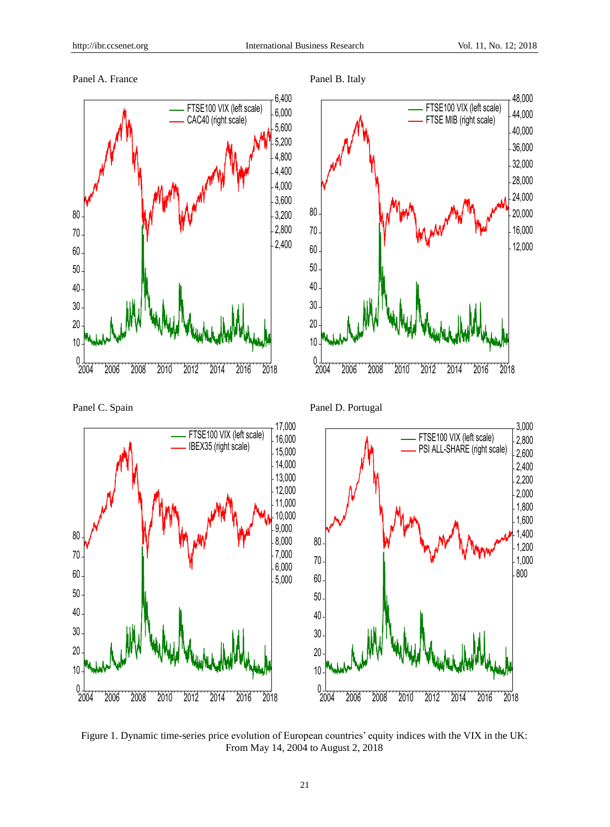## Panel A. France Panel B. Italy







Panel C. Spain Panel D. Portugal



Figure 1. Dynamic time-series price evolution of European countries' equity indices with the VIX in the UK: From May 14, 2004 to August 2, 2018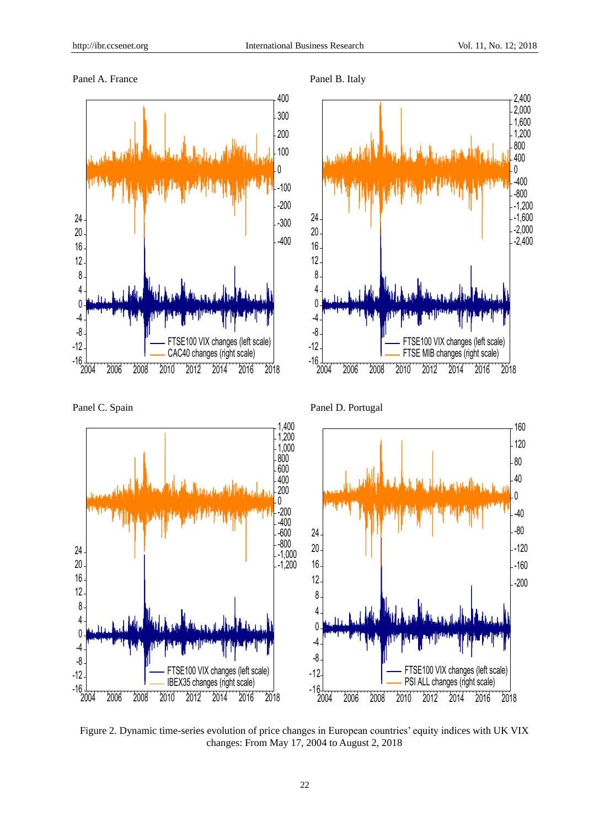







Figure 2. Dynamic time-series evolution of price changes in European countries' equity indices with UK VIX changes: From May 17, 2004 to August 2, 2018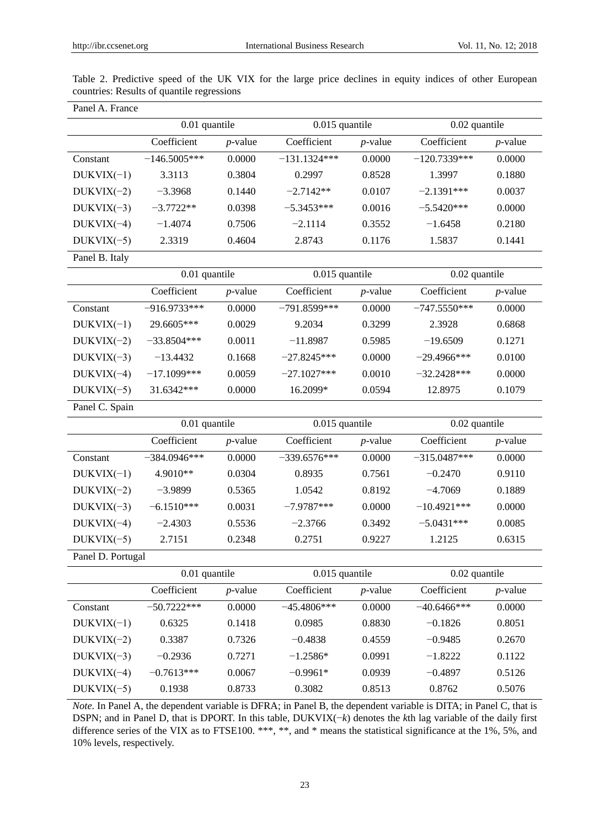| Panel A. France   |                |               |                |                |                |               |  |  |
|-------------------|----------------|---------------|----------------|----------------|----------------|---------------|--|--|
|                   |                | 0.01 quantile |                | 0.015 quantile |                | 0.02 quantile |  |  |
|                   | Coefficient    | $p$ -value    | Coefficient    | $p$ -value     | Coefficient    | $p$ -value    |  |  |
| Constant          | $-146.5005***$ | 0.0000        | $-131.1324***$ | 0.0000         | $-120.7339***$ | 0.0000        |  |  |
| $DUKVIX(-1)$      | 3.3113         | 0.3804        | 0.2997         | 0.8528         | 1.3997         | 0.1880        |  |  |
| $DUKVIX(-2)$      | $-3.3968$      | 0.1440        | $-2.7142**$    | 0.0107         | $-2.1391***$   | 0.0037        |  |  |
| $DUKVIX(-3)$      | $-3.7722**$    | 0.0398        | $-5.3453***$   | 0.0016         | $-5.5420***$   | 0.0000        |  |  |
| $DUKVIX(-4)$      | $-1.4074$      | 0.7506        | $-2.1114$      | 0.3552         | $-1.6458$      | 0.2180        |  |  |
| $DUKVIX(-5)$      | 2.3319         | 0.4604        | 2.8743         | 0.1176         | 1.5837         | 0.1441        |  |  |
| Panel B. Italy    |                |               |                |                |                |               |  |  |
|                   | 0.01 quantile  |               | 0.015 quantile |                | 0.02 quantile  |               |  |  |
|                   | Coefficient    | $p$ -value    | Coefficient    | $p$ -value     | Coefficient    | $p$ -value    |  |  |
| Constant          | $-916.9733***$ | 0.0000        | $-791.8599***$ | 0.0000         | $-747.5550***$ | 0.0000        |  |  |
| $DUKVIX(-1)$      | 29.6605***     | 0.0029        | 9.2034         | 0.3299         | 2.3928         | 0.6868        |  |  |
| $DUKVIX(-2)$      | $-33.8504***$  | 0.0011        | $-11.8987$     | 0.5985         | $-19.6509$     | 0.1271        |  |  |
| $DUKVIX(-3)$      | $-13.4432$     | 0.1668        | $-27.8245***$  | 0.0000         | $-29.4966***$  | 0.0100        |  |  |
| $DUKVIX(-4)$      | $-17.1099***$  | 0.0059        | $-27.1027***$  | 0.0010         | $-32.2428***$  | 0.0000        |  |  |
| $DUKVIX(-5)$      | 31.6342***     | 0.0000        | 16.2099*       | 0.0594         | 12.8975        | 0.1079        |  |  |
| Panel C. Spain    |                |               |                |                |                |               |  |  |
|                   |                | 0.01 quantile |                | 0.015 quantile |                | 0.02 quantile |  |  |
|                   | Coefficient    | $p$ -value    | Coefficient    | $p$ -value     | Coefficient    | $p$ -value    |  |  |
| Constant          | $-384.0946***$ | 0.0000        | $-339.6576***$ | 0.0000         | $-315.0487***$ | 0.0000        |  |  |
| $DUKVIX(-1)$      | 4.9010**       | 0.0304        | 0.8935         | 0.7561         | $-0.2470$      | 0.9110        |  |  |
| $DUKVIX(-2)$      | $-3.9899$      | 0.5365        | 1.0542         | 0.8192         | $-4.7069$      | 0.1889        |  |  |
| $DUKVIX(-3)$      | $-6.1510***$   | 0.0031        | $-7.9787***$   | 0.0000         | $-10.4921***$  | 0.0000        |  |  |
| $DUKVIX(-4)$      | $-2.4303$      | 0.5536        | $-2.3766$      | 0.3492         | $-5.0431***$   | 0.0085        |  |  |
| $DUKVIX(-5)$      | 2.7151         | 0.2348        | 0.2751         | 0.9227         | 1.2125         | 0.6315        |  |  |
| Panel D. Portugal |                |               |                |                |                |               |  |  |
|                   | 0.01 quantile  |               | 0.015 quantile |                | 0.02 quantile  |               |  |  |
|                   | Coefficient    | $p$ -value    | Coefficient    | $p$ -value     | Coefficient    | $p$ -value    |  |  |
| Constant          | $-50.7222***$  | 0.0000        | $-45.4806***$  | 0.0000         | $-40.6466***$  | 0.0000        |  |  |
| $DUKVIX(-1)$      | 0.6325         | 0.1418        | 0.0985         | 0.8830         | $-0.1826$      | 0.8051        |  |  |
| $DUKVIX(-2)$      | 0.3387         | 0.7326        | $-0.4838$      | 0.4559         | $-0.9485$      | 0.2670        |  |  |
| $DUKVIX(-3)$      | $-0.2936$      | 0.7271        | $-1.2586*$     | 0.0991         | $-1.8222$      | 0.1122        |  |  |
| $DUKVIX(-4)$      | $-0.7613***$   | 0.0067        | $-0.9961*$     | 0.0939         | $-0.4897$      | 0.5126        |  |  |
| $DUKVIX(-5)$      | 0.1938         | 0.8733        | 0.3082         | 0.8513         | 0.8762         | 0.5076        |  |  |

Table 2. Predictive speed of the UK VIX for the large price declines in equity indices of other European countries: Results of quantile regressions

*Note*. In Panel A, the dependent variable is DFRA; in Panel B, the dependent variable is DITA; in Panel C, that is DSPN; and in Panel D, that is DPORT. In this table, DUKVIX(−*k*) denotes the *k*th lag variable of the daily first difference series of the VIX as to FTSE100. \*\*\*, \*\*, and \* means the statistical significance at the 1%, 5%, and 10% levels, respectively.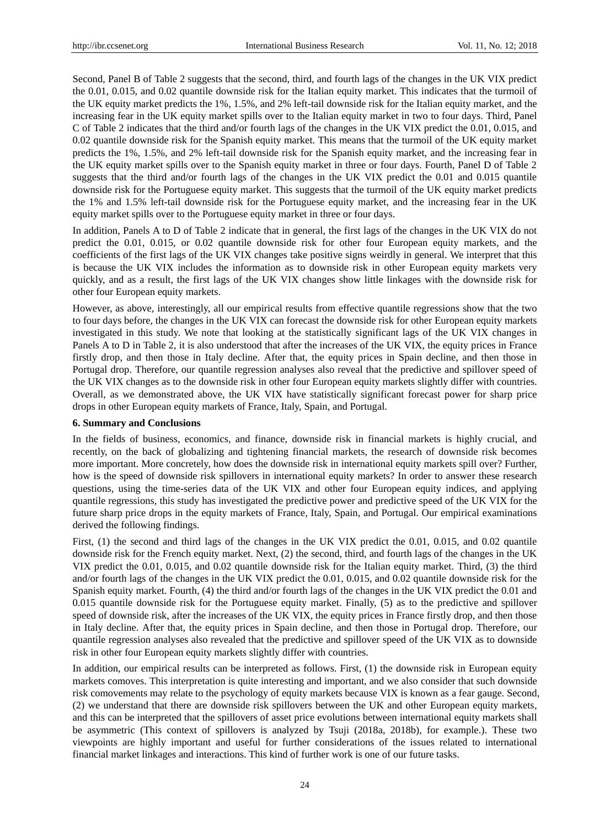Second, Panel B of Table 2 suggests that the second, third, and fourth lags of the changes in the UK VIX predict the 0.01, 0.015, and 0.02 quantile downside risk for the Italian equity market. This indicates that the turmoil of the UK equity market predicts the 1%, 1.5%, and 2% left-tail downside risk for the Italian equity market, and the increasing fear in the UK equity market spills over to the Italian equity market in two to four days. Third, Panel C of Table 2 indicates that the third and/or fourth lags of the changes in the UK VIX predict the 0.01, 0.015, and 0.02 quantile downside risk for the Spanish equity market. This means that the turmoil of the UK equity market predicts the 1%, 1.5%, and 2% left-tail downside risk for the Spanish equity market, and the increasing fear in the UK equity market spills over to the Spanish equity market in three or four days. Fourth, Panel D of Table 2 suggests that the third and/or fourth lags of the changes in the UK VIX predict the 0.01 and 0.015 quantile downside risk for the Portuguese equity market. This suggests that the turmoil of the UK equity market predicts the 1% and 1.5% left-tail downside risk for the Portuguese equity market, and the increasing fear in the UK equity market spills over to the Portuguese equity market in three or four days.

In addition, Panels A to D of Table 2 indicate that in general, the first lags of the changes in the UK VIX do not predict the 0.01, 0.015, or 0.02 quantile downside risk for other four European equity markets, and the coefficients of the first lags of the UK VIX changes take positive signs weirdly in general. We interpret that this is because the UK VIX includes the information as to downside risk in other European equity markets very quickly, and as a result, the first lags of the UK VIX changes show little linkages with the downside risk for other four European equity markets.

However, as above, interestingly, all our empirical results from effective quantile regressions show that the two to four days before, the changes in the UK VIX can forecast the downside risk for other European equity markets investigated in this study. We note that looking at the statistically significant lags of the UK VIX changes in Panels A to D in Table 2, it is also understood that after the increases of the UK VIX, the equity prices in France firstly drop, and then those in Italy decline. After that, the equity prices in Spain decline, and then those in Portugal drop. Therefore, our quantile regression analyses also reveal that the predictive and spillover speed of the UK VIX changes as to the downside risk in other four European equity markets slightly differ with countries. Overall, as we demonstrated above, the UK VIX have statistically significant forecast power for sharp price drops in other European equity markets of France, Italy, Spain, and Portugal.

#### **6. Summary and Conclusions**

In the fields of business, economics, and finance, downside risk in financial markets is highly crucial, and recently, on the back of globalizing and tightening financial markets, the research of downside risk becomes more important. More concretely, how does the downside risk in international equity markets spill over? Further, how is the speed of downside risk spillovers in international equity markets? In order to answer these research questions, using the time-series data of the UK VIX and other four European equity indices, and applying quantile regressions, this study has investigated the predictive power and predictive speed of the UK VIX for the future sharp price drops in the equity markets of France, Italy, Spain, and Portugal. Our empirical examinations derived the following findings.

First, (1) the second and third lags of the changes in the UK VIX predict the 0.01, 0.015, and 0.02 quantile downside risk for the French equity market. Next, (2) the second, third, and fourth lags of the changes in the UK VIX predict the 0.01, 0.015, and 0.02 quantile downside risk for the Italian equity market. Third, (3) the third and/or fourth lags of the changes in the UK VIX predict the 0.01, 0.015, and 0.02 quantile downside risk for the Spanish equity market. Fourth, (4) the third and/or fourth lags of the changes in the UK VIX predict the 0.01 and 0.015 quantile downside risk for the Portuguese equity market. Finally, (5) as to the predictive and spillover speed of downside risk, after the increases of the UK VIX, the equity prices in France firstly drop, and then those in Italy decline. After that, the equity prices in Spain decline, and then those in Portugal drop. Therefore, our quantile regression analyses also revealed that the predictive and spillover speed of the UK VIX as to downside risk in other four European equity markets slightly differ with countries.

In addition, our empirical results can be interpreted as follows. First, (1) the downside risk in European equity markets comoves. This interpretation is quite interesting and important, and we also consider that such downside risk comovements may relate to the psychology of equity markets because VIX is known as a fear gauge. Second, (2) we understand that there are downside risk spillovers between the UK and other European equity markets, and this can be interpreted that the spillovers of asset price evolutions between international equity markets shall be asymmetric (This context of spillovers is analyzed by Tsuji (2018a, 2018b), for example.). These two viewpoints are highly important and useful for further considerations of the issues related to international financial market linkages and interactions. This kind of further work is one of our future tasks.